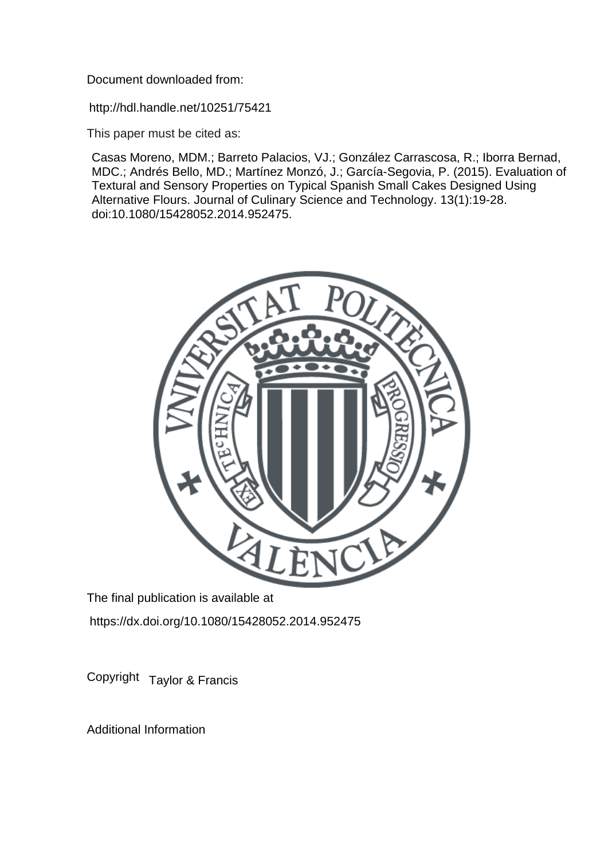Document downloaded from:

http://hdl.handle.net/10251/75421

This paper must be cited as:

Casas Moreno, MDM.; Barreto Palacios, VJ.; González Carrascosa, R.; Iborra Bernad, MDC.; Andrés Bello, MD.; Martínez Monzó, J.; García-Segovia, P. (2015). Evaluation of Textural and Sensory Properties on Typical Spanish Small Cakes Designed Using Alternative Flours. Journal of Culinary Science and Technology. 13(1):19-28. doi:10.1080/15428052.2014.952475.



The final publication is available at https://dx.doi.org/10.1080/15428052.2014.952475

Copyright Taylor & Francis

Additional Information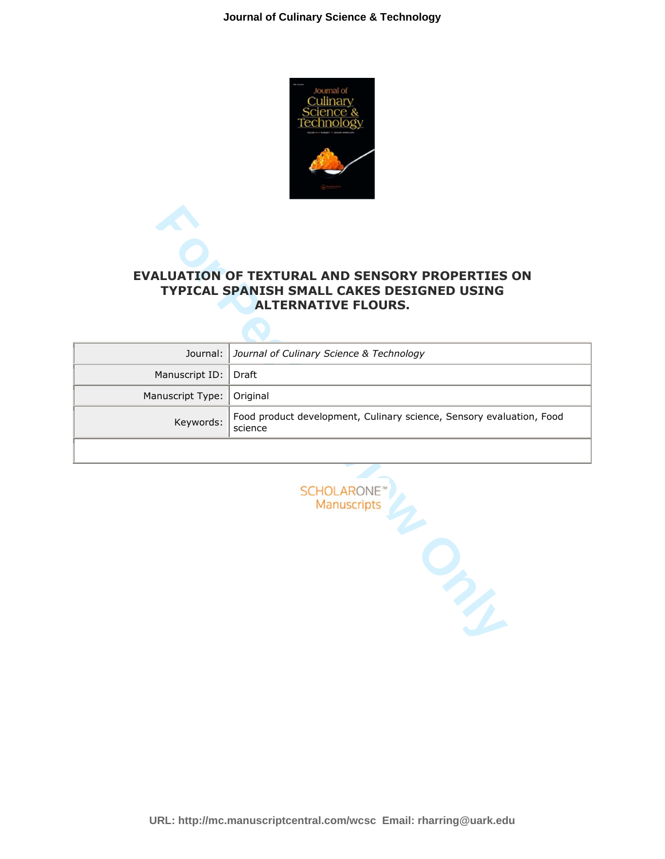

# **EVALUATION OF TEXTURAL AND SENSORY PROPERTIES ON TYPICAL SPANISH SMALL CAKES DESIGNED USING ALTERNATIVE FLOURS.**

|                  | <b>EVALUATION OF TEXTURAL AND SENSORY PROPERTIES ON</b><br>TYPICAL SPANISH SMALL CAKES DESIGNED USING<br><b>ALTERNATIVE FLOURS.</b> |
|------------------|-------------------------------------------------------------------------------------------------------------------------------------|
| Journal:         | Journal of Culinary Science & Technology                                                                                            |
| Manuscript ID:   | Draft                                                                                                                               |
| Manuscript Type: | Original                                                                                                                            |
| Keywords:        | Food product development, Culinary science, Sensory evaluation, Food<br>science                                                     |
|                  | <b>SCHOLARONE</b> <sup>®</sup><br>Manuscripts                                                                                       |

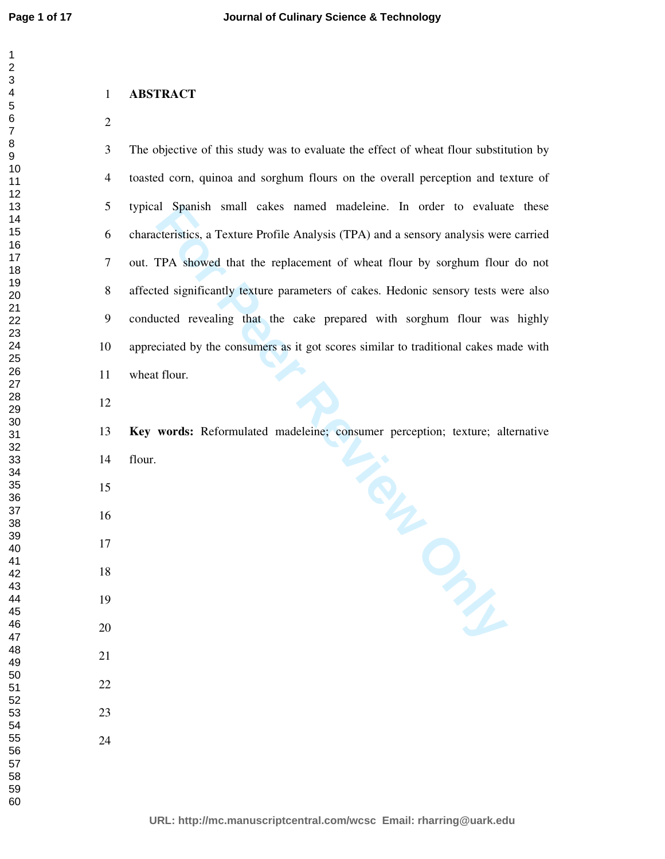### **ABSTRACT**

Padeleine: Consumer perception; texture; alternation 3 The objective of this study was to evaluate the effect of wheat flour substitution by 4 toasted corn, quinoa and sorghum flours on the overall perception and texture of 5 typical Spanish small cakes named madeleine. In order to evaluate these 6 characteristics, a Texture Profile Analysis (TPA) and a sensory analysis were carried 7 out. TPA showed that the replacement of wheat flour by sorghum flour do not 8 affected significantly texture parameters of cakes. Hedonic sensory tests were also 9 conducted revealing that the cake prepared with sorghum flour was highly 10 appreciated by the consumers as it got scores similar to traditional cakes made with 11 wheat flour. **Key words:** Reformulated madeleine; consumer perception; texture; alternative

- 14 flour.
- 
- 
- 
- 
- 
- 
- 
- 
- -
-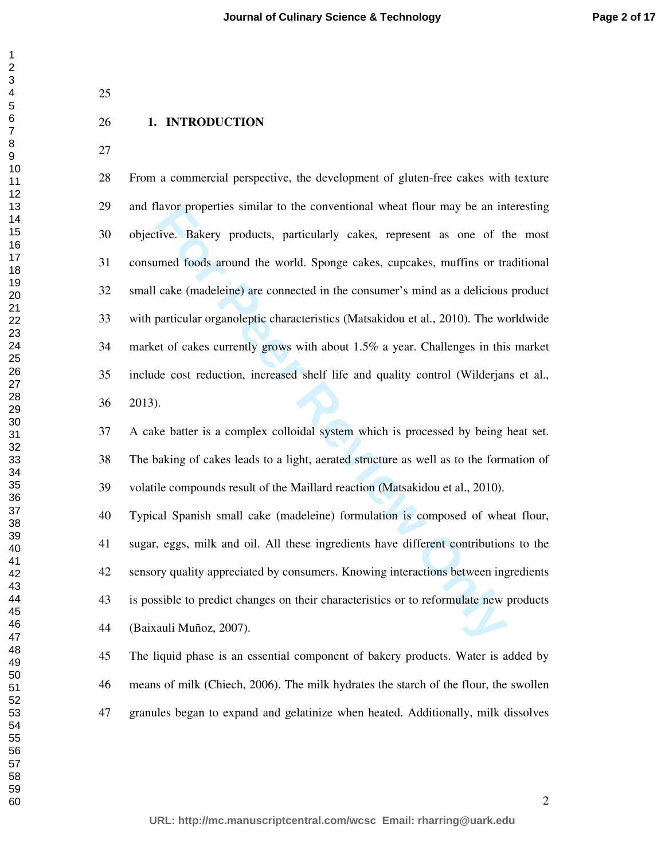## **1. INTRODUCTION**

avor properties similar to the conventional wheat flour may be an infive. Bakery products, particularly cakes, represent as one of the med foods around the world. Sponge cakes, cupcakes, muffins or tracke (madeleine) are c 28 From a commercial perspective, the development of gluten-free cakes with texture 29 and flavor properties similar to the conventional wheat flour may be an interesting 30 objective. Bakery products, particularly cakes, represent as one of the most 31 consumed foods around the world. Sponge cakes, cupcakes, muffins or traditional 32 small cake (madeleine) are connected in the consumer's mind as a delicious product 33 with particular organoleptic characteristics (Matsakidou et al., 2010). The worldwide 34 market of cakes currently grows with about 1.5% a year. Challenges in this market 35 include cost reduction, increased shelf life and quality control (Wilderjans et al., 36 2013).

37 A cake batter is a complex colloidal system which is processed by being heat set. 38 The baking of cakes leads to a light, aerated structure as well as to the formation of 39 volatile compounds result of the Maillard reaction (Matsakidou et al., 2010).

40 Typical Spanish small cake (madeleine) formulation is composed of wheat flour, 41 sugar, eggs, milk and oil. All these ingredients have different contributions to the 42 sensory quality appreciated by consumers. Knowing interactions between ingredients 43 is possible to predict changes on their characteristics or to reformulate new products 44 (Baixauli Muñoz, 2007).

45 The liquid phase is an essential component of bakery products. Water is added by 46 means of milk (Chiech, 2006). The milk hydrates the starch of the flour, the swollen 47 granules began to expand and gelatinize when heated. Additionally, milk dissolves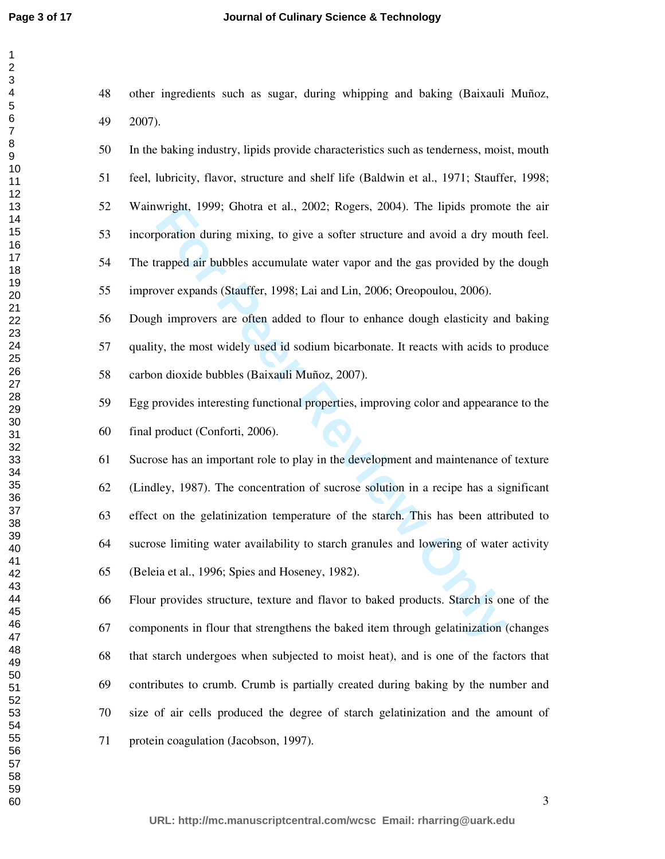| $\overline{c}$                                |  |
|-----------------------------------------------|--|
|                                               |  |
|                                               |  |
| 345678                                        |  |
|                                               |  |
|                                               |  |
|                                               |  |
|                                               |  |
|                                               |  |
|                                               |  |
|                                               |  |
|                                               |  |
|                                               |  |
|                                               |  |
|                                               |  |
|                                               |  |
|                                               |  |
|                                               |  |
|                                               |  |
|                                               |  |
|                                               |  |
|                                               |  |
|                                               |  |
|                                               |  |
|                                               |  |
| 9111213416178901222<br>223456782              |  |
|                                               |  |
|                                               |  |
|                                               |  |
|                                               |  |
|                                               |  |
|                                               |  |
|                                               |  |
|                                               |  |
| $\frac{29}{1}$<br>ل 2<br>30<br>31<br>33<br>33 |  |
| $\overline{30}$                               |  |
|                                               |  |
|                                               |  |
| 32<br>334<br>3536<br>37、                      |  |
|                                               |  |
|                                               |  |
|                                               |  |
|                                               |  |
|                                               |  |
|                                               |  |
| 38                                            |  |
| 39                                            |  |
| $\overline{4}$<br>U                           |  |
|                                               |  |
| 41                                            |  |
| 42                                            |  |
| 43                                            |  |
| 44                                            |  |
| 45                                            |  |
|                                               |  |
| 46                                            |  |
| 47                                            |  |
| 48                                            |  |
| 49                                            |  |
|                                               |  |
| 50                                            |  |
| 51                                            |  |
| 52                                            |  |
| 53<br>ś                                       |  |
|                                               |  |
| 54                                            |  |
| 55                                            |  |
| 56                                            |  |
| 57                                            |  |
|                                               |  |
| 58                                            |  |
| 59<br>€                                       |  |
| 60                                            |  |

48 other ingredients such as sugar, during whipping and baking (Baixauli Muñoz, 49 2007).

50 In the baking industry, lipids provide characteristics such as tenderness, moist, mouth 51 feel, lubricity, flavor, structure and shelf life (Baldwin et al., 1971; Stauffer, 1998; 52 Wainwright, 1999; Ghotra et al., 2002; Rogers, 2004). The lipids promote the air 53 incorporation during mixing, to give a softer structure and avoid a dry mouth feel. 54 The trapped air bubbles accumulate water vapor and the gas provided by the dough 55 improver expands (Stauffer, 1998; Lai and Lin, 2006; Oreopoulou, 2006).

56 Dough improvers are often added to flour to enhance dough elasticity and baking 57 quality, the most widely used id sodium bicarbonate. It reacts with acids to produce 58 carbon dioxide bubbles (Baixauli Muñoz, 2007).

59 Egg provides interesting functional properties, improving color and appearance to the 60 final product (Conforti, 2006).

wright, 1999; Ghotra et al., 2002; Rogers, 2004). The lipids promote<br>poration during mixing, to give a softer structure and avoid a dry mo<br>rapped air bubbles accumulate water vapor and the gas provided by th<br>wer expands (S 61 Sucrose has an important role to play in the development and maintenance of texture 62 (Lindley, 1987). The concentration of sucrose solution in a recipe has a significant 63 effect on the gelatinization temperature of the starch. This has been attributed to 64 sucrose limiting water availability to starch granules and lowering of water activity 65 (Beleia et al., 1996; Spies and Hoseney, 1982).

66 Flour provides structure, texture and flavor to baked products. Starch is one of the 67 components in flour that strengthens the baked item through gelatinization (changes 68 that starch undergoes when subjected to moist heat), and is one of the factors that 69 contributes to crumb. Crumb is partially created during baking by the number and 70 size of air cells produced the degree of starch gelatinization and the amount of 71 protein coagulation (Jacobson, 1997).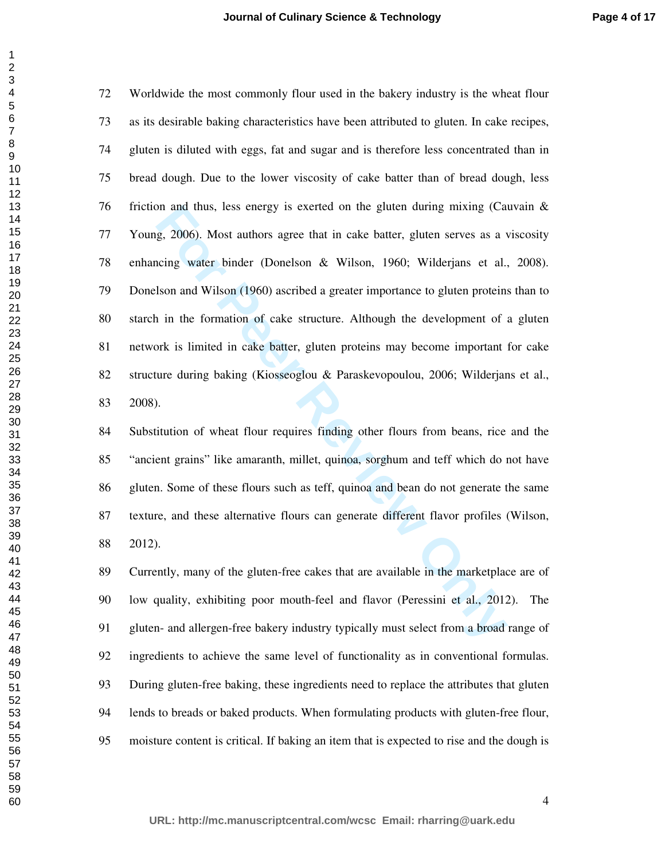on and thus, less energy is exerted on the gluten during mixing (Carendon). Review and thus agree that in cake batter, gluten serves as a vicing water binder (Donelson & Wilson, 1960; Wilderjans et al., Ison and Wilson (19 72 Worldwide the most commonly flour used in the bakery industry is the wheat flour 73 as its desirable baking characteristics have been attributed to gluten. In cake recipes, 74 gluten is diluted with eggs, fat and sugar and is therefore less concentrated than in 75 bread dough. Due to the lower viscosity of cake batter than of bread dough, less 76 friction and thus, less energy is exerted on the gluten during mixing (Cauvain & 77 Young, 2006). Most authors agree that in cake batter, gluten serves as a viscosity 78 enhancing water binder (Donelson & Wilson, 1960; Wilderjans et al., 2008). 79 Donelson and Wilson (1960) ascribed a greater importance to gluten proteins than to 80 starch in the formation of cake structure. Although the development of a gluten 81 network is limited in cake batter, gluten proteins may become important for cake 82 structure during baking (Kiosseoglou & Paraskevopoulou, 2006; Wilderjans et al., 83 2008).

84 Substitution of wheat flour requires finding other flours from beans, rice and the 85 "ancient grains" like amaranth, millet, quinoa, sorghum and teff which do not have 86 gluten. Some of these flours such as teff, quinoa and bean do not generate the same 87 texture, and these alternative flours can generate different flavor profiles (Wilson, 88 2012).

89 Currently, many of the gluten-free cakes that are available in the marketplace are of 90 low quality, exhibiting poor mouth-feel and flavor (Peressini et al., 2012). The 91 gluten- and allergen-free bakery industry typically must select from a broad range of 92 ingredients to achieve the same level of functionality as in conventional formulas. 93 During gluten-free baking, these ingredients need to replace the attributes that gluten 94 lends to breads or baked products. When formulating products with gluten-free flour, 95 moisture content is critical. If baking an item that is expected to rise and the dough is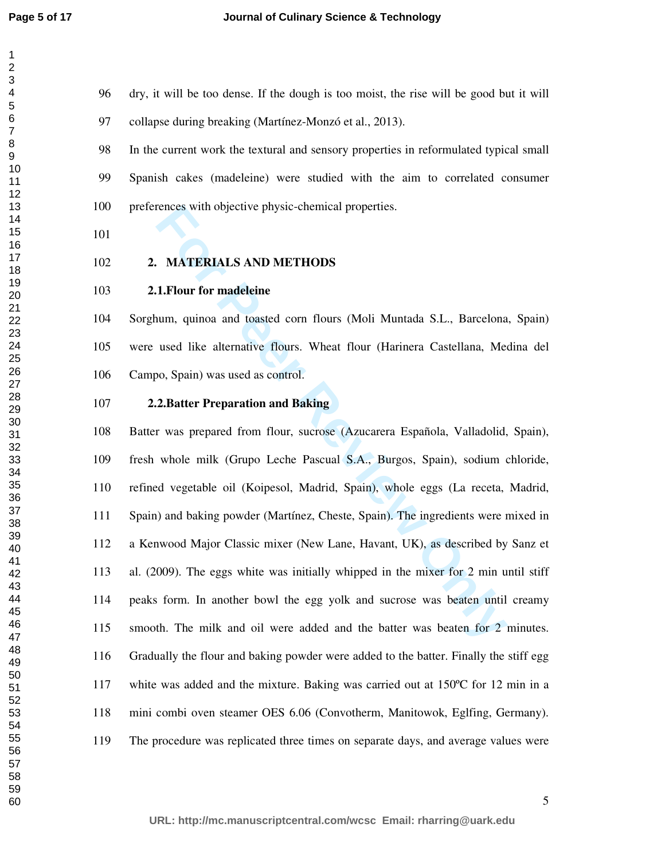96 dry, it will be too dense. If the dough is too moist, the rise will be good but it will 97 collapse during breaking (Martínez-Monzó et al., 2013).

98 In the current work the textural and sensory properties in reformulated typical small 99 Spanish cakes (madeleine) were studied with the aim to correlated consumer 100 preferences with objective physic-chemical properties.

# **2. MATERIALS AND METHODS**

### **2.1.Flour for madeleine**

104 Sorghum, quinoa and toasted corn flours (Moli Muntada S.L., Barcelona, Spain) 105 were used like alternative flours. Wheat flour (Harinera Castellana, Medina del 106 Campo, Spain) was used as control.

**2.2.Batter Preparation and Baking** 

rences with objective physic-chemical properties.<br> **Four for madeleine**<br> **Four for madeleine**<br> **Four for madeleine**<br> **Four for madeleine**<br> **Four, during and toasted corn flours (Moli Muntada S.L., Barcelona<br>
<b>Example Algon** 108 Batter was prepared from flour, sucrose (Azucarera Española, Valladolid, Spain), 109 fresh whole milk (Grupo Leche Pascual S.A., Burgos, Spain), sodium chloride, 110 refined vegetable oil (Koipesol, Madrid, Spain), whole eggs (La receta, Madrid, 111 Spain) and baking powder (Martínez, Cheste, Spain). The ingredients were mixed in 112 a Kenwood Major Classic mixer (New Lane, Havant, UK), as described by Sanz et 113 al. (2009). The eggs white was initially whipped in the mixer for 2 min until stiff 114 peaks form. In another bowl the egg yolk and sucrose was beaten until creamy 115 smooth. The milk and oil were added and the batter was beaten for 2 minutes. 116 Gradually the flour and baking powder were added to the batter. Finally the stiff egg 117 white was added and the mixture. Baking was carried out at 150ºC for 12 min in a 118 mini combi oven steamer OES 6.06 (Convotherm, Manitowok, Eglfing, Germany). 119 The procedure was replicated three times on separate days, and average values were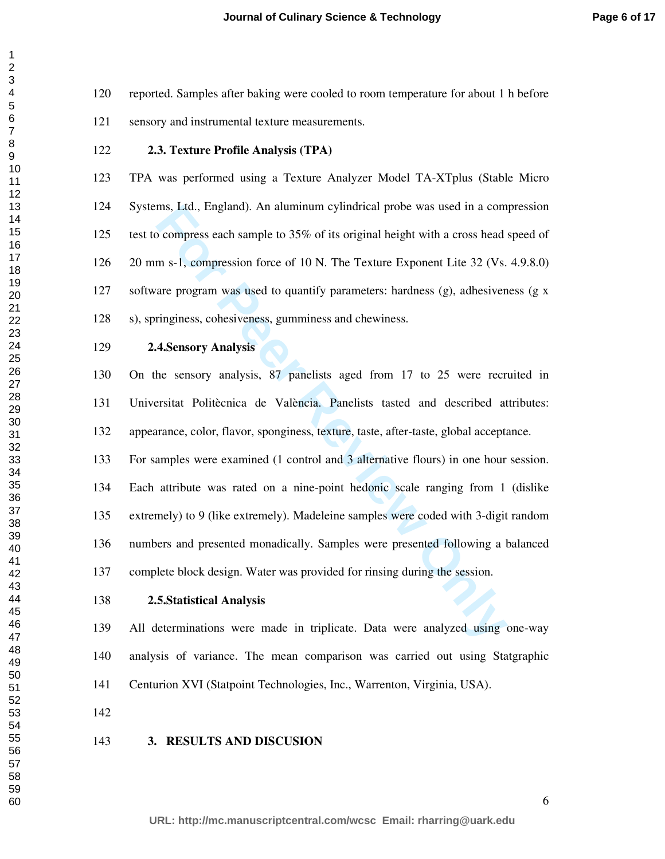**Journal of Culinary Science & Technology**

120 reported. Samples after baking were cooled to room temperature for about 1 h before 121 sensory and instrumental texture measurements.

# **2.3. Texture Profile Analysis (TPA)**

123 TPA was performed using a Texture Analyzer Model TA-XTplus (Stable Micro 124 Systems, Ltd., England). An aluminum cylindrical probe was used in a compression 125 test to compress each sample to 35% of its original height with a cross head speed of 126 20 mm s-1, compression force of 10 N. The Texture Exponent Lite 32 (Vs. 4.9.8.0) 127 software program was used to quantify parameters: hardness  $(g)$ , adhesiveness  $(g \times g)$ 128 s), springiness, cohesiveness, gumminess and chewiness.

# **2.4.Sensory Analysis**

130 On the sensory analysis, 87 panelists aged from 17 to 25 were recruited in 131 Universitat Politècnica de València. Panelists tasted and described attributes: 132 appearance, color, flavor, sponginess, texture, taste, after-taste, global acceptance.

ms, Ltd., England). An aluminum cylindrical probe was used in a com<br>
po compress each sample to 35% of its original height with a cross head<br>
m s-1, compression force of 10 N. The Texture Exponent Lite 32 (Vs.<br>
are program 133 For samples were examined (1 control and 3 alternative flours) in one hour session. 134 Each attribute was rated on a nine-point hedonic scale ranging from 1 (dislike 135 extremely) to 9 (like extremely). Madeleine samples were coded with 3-digit random 136 numbers and presented monadically. Samples were presented following a balanced 137 complete block design. Water was provided for rinsing during the session.

#### **2.5.Statistical Analysis**

139 All determinations were made in triplicate. Data were analyzed using one-way 140 analysis of variance. The mean comparison was carried out using Statgraphic 141 Centurion XVI (Statpoint Technologies, Inc., Warrenton, Virginia, USA).

#### **3. RESULTS AND DISCUSION**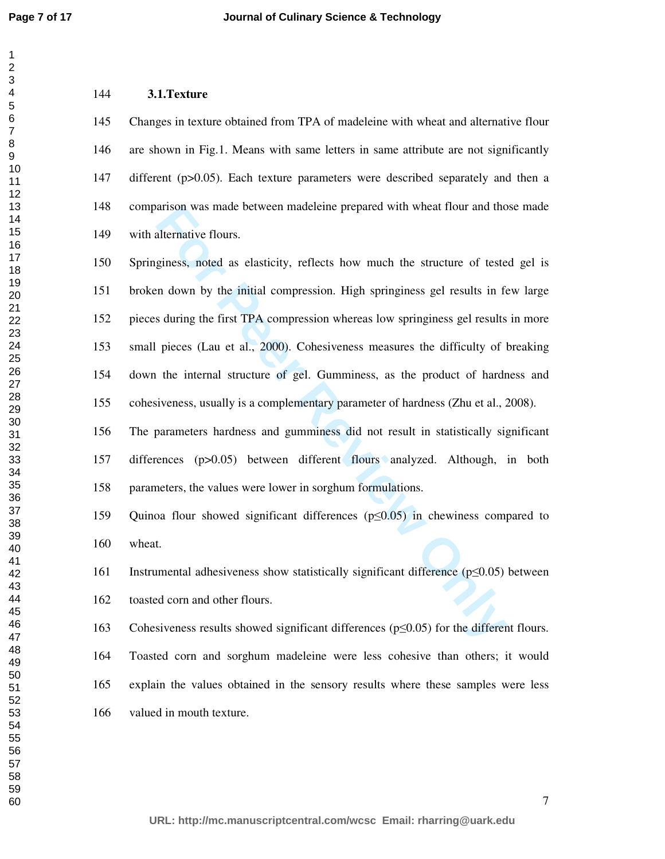# **3.1.Texture**

145 Changes in texture obtained from TPA of madeleine with wheat and alternative flour 146 are shown in Fig.1. Means with same letters in same attribute are not significantly 147 different (p>0.05). Each texture parameters were described separately and then a 148 comparison was made between madeleine prepared with wheat flour and those made 149 with alternative flours.

arison was made between madeleine prepared with wheat flour and tho<br>alternative flours.<br>giness, noted as elasticity, reflects how much the structure of teste<br>n down by the initial compression. High springiness gel results 150 Springiness, noted as elasticity, reflects how much the structure of tested gel is 151 broken down by the initial compression. High springiness gel results in few large 152 pieces during the first TPA compression whereas low springiness gel results in more 153 small pieces (Lau et al., 2000). Cohesiveness measures the difficulty of breaking 154 down the internal structure of gel. Gumminess, as the product of hardness and 155 cohesiveness, usually is a complementary parameter of hardness (Zhu et al., 2008).

156 The parameters hardness and gumminess did not result in statistically significant 157 differences (p>0.05) between different flours analyzed. Although, in both 158 parameters, the values were lower in sorghum formulations.

159 Quinoa flour showed significant differences (p≤0.05) in chewiness compared to 160 wheat.

161 Instrumental adhesiveness show statistically significant difference (p≤0.05) between 162 toasted corn and other flours.

163 Cohesiveness results showed significant differences (p≤0.05) for the different flours.

164 Toasted corn and sorghum madeleine were less cohesive than others; it would 165 explain the values obtained in the sensory results where these samples were less 166 valued in mouth texture.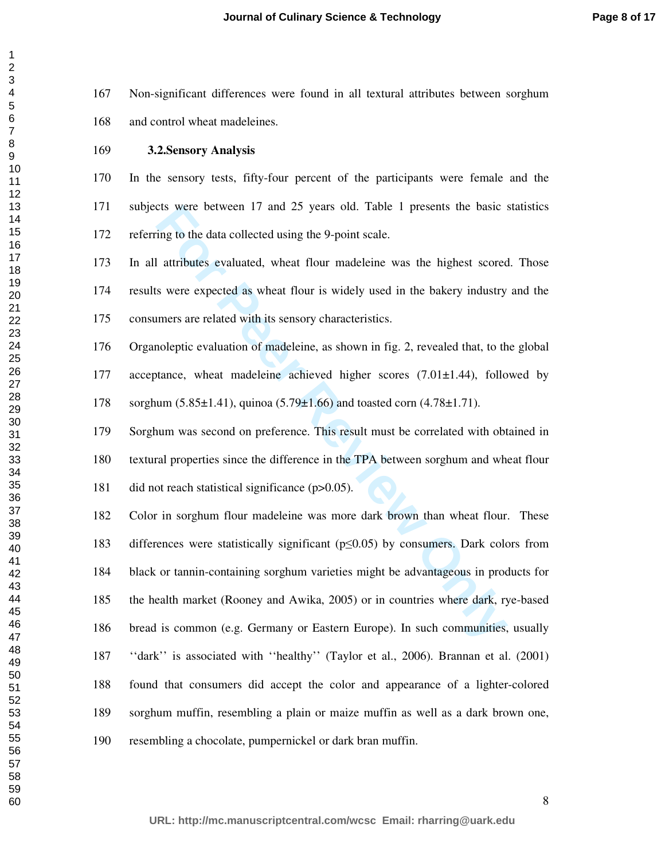167 Non-significant differences were found in all textural attributes between sorghum 168 and control wheat madeleines.

**3.2.Sensory Analysis** 

170 In the sensory tests, fifty-four percent of the participants were female and the 171 subjects were between 17 and 25 years old. Table 1 presents the basic statistics 172 referring to the data collected using the 9-point scale.

173 In all attributes evaluated, wheat flour madeleine was the highest scored. Those 174 results were expected as wheat flour is widely used in the bakery industry and the 175 consumers are related with its sensory characteristics.

176 Organoleptic evaluation of madeleine, as shown in fig. 2, revealed that, to the global 177 acceptance, wheat madeleine achieved higher scores  $(7.01 \pm 1.44)$ , followed by 178 sorghum (5.85±1.41), quinoa (5.79±1.66) and toasted corn (4.78±1.71).

179 Sorghum was second on preference. This result must be correlated with obtained in 180 textural properties since the difference in the TPA between sorghum and wheat flour 181 did not reach statistical significance (p>0.05).

Ets were between 17 and 25 years old. Table 1 presents the basic is<br>ting to the data collected using the 9-point scale.<br> **Example 1** attributes evaluated, wheat flour madeleine was the highest scored<br>
swere expected as wh 182 Color in sorghum flour madeleine was more dark brown than wheat flour. These 183 differences were statistically significant (p≤0.05) by consumers. Dark colors from 184 black or tannin-containing sorghum varieties might be advantageous in products for 185 the health market (Rooney and Awika, 2005) or in countries where dark, rye-based 186 bread is common (e.g. Germany or Eastern Europe). In such communities, usually 187 ''dark'' is associated with ''healthy'' (Taylor et al., 2006). Brannan et al. (2001) 188 found that consumers did accept the color and appearance of a lighter-colored 189 sorghum muffin, resembling a plain or maize muffin as well as a dark brown one, 190 resembling a chocolate, pumpernickel or dark bran muffin.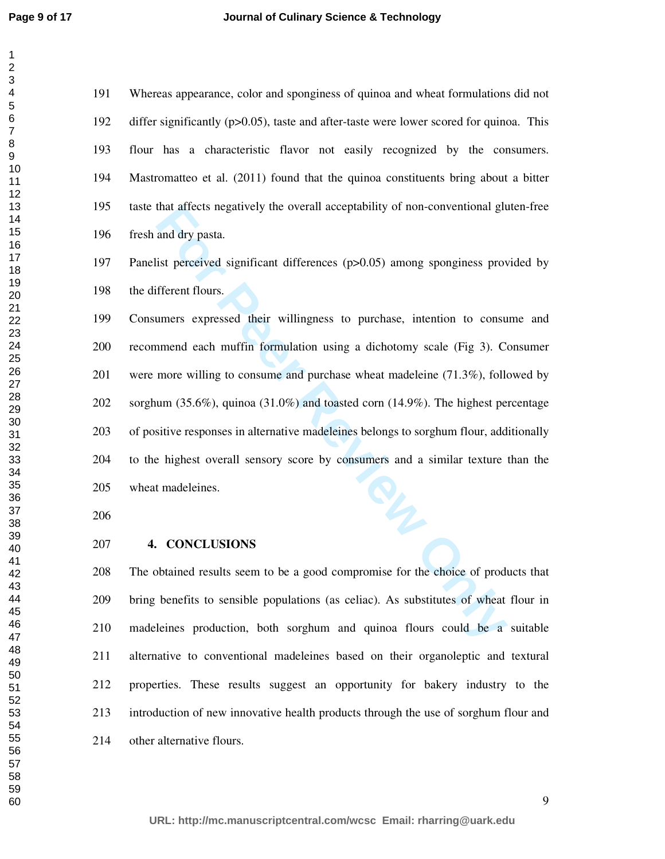191 Whereas appearance, color and sponginess of quinoa and wheat formulations did not 192 differ significantly (p>0.05), taste and after-taste were lower scored for quinoa. This 193 flour has a characteristic flavor not easily recognized by the consumers. 194 Mastromatteo et al. (2011) found that the quinoa constituents bring about a bitter 195 taste that affects negatively the overall acceptability of non-conventional gluten-free 196 fresh and dry pasta.

197 Panelist perceived significant differences (p>0.05) among sponginess provided by 198 the different flours.

that attects negatively the overall acceptability of non-conventional glue and dry pasta.<br> **For Percevied significant differences** (p>0.05) among sponginess prover<br> **For Percevies Exerce Alternal** differences (p>0.05) amon 199 Consumers expressed their willingness to purchase, intention to consume and 200 recommend each muffin formulation using a dichotomy scale (Fig 3). Consumer 201 were more willing to consume and purchase wheat madeleine (71.3%), followed by 202 sorghum (35.6%), quinoa (31.0%) and toasted corn (14.9%). The highest percentage 203 of positive responses in alternative madeleines belongs to sorghum flour, additionally 204 to the highest overall sensory score by consumers and a similar texture than the 205 wheat madeleines.

## **4. CONCLUSIONS**

208 The obtained results seem to be a good compromise for the choice of products that 209 bring benefits to sensible populations (as celiac). As substitutes of wheat flour in 210 madeleines production, both sorghum and quinoa flours could be a suitable 211 alternative to conventional madeleines based on their organoleptic and textural 212 properties. These results suggest an opportunity for bakery industry to the 213 introduction of new innovative health products through the use of sorghum flour and 214 other alternative flours.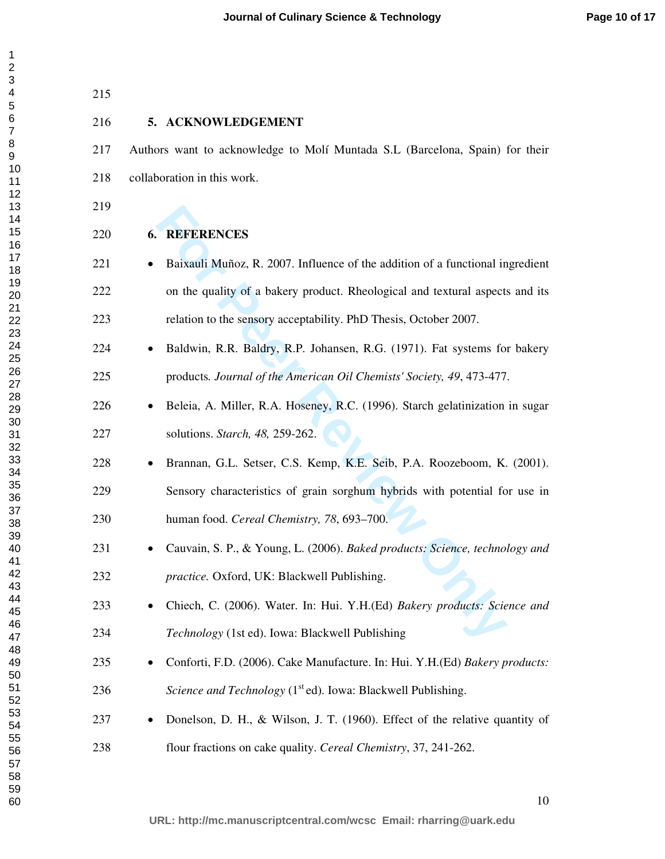| 215 |                                                                                           |
|-----|-------------------------------------------------------------------------------------------|
| 216 | 5. ACKNOWLEDGEMENT                                                                        |
| 217 | Authors want to acknowledge to Molí Muntada S.L (Barcelona, Spain) for their              |
| 218 | collaboration in this work.                                                               |
| 219 |                                                                                           |
| 220 | <b>6. REFERENCES</b>                                                                      |
| 221 | Baixauli Muñoz, R. 2007. Influence of the addition of a functional ingredient             |
| 222 | on the quality of a bakery product. Rheological and textural aspects and its              |
| 223 | relation to the sensory acceptability. PhD Thesis, October 2007.                          |
| 224 | Baldwin, R.R. Baldry, R.P. Johansen, R.G. (1971). Fat systems for bakery                  |
| 225 | products. Journal of the American Oil Chemists' Society, 49, 473-477.                     |
| 226 | Beleia, A. Miller, R.A. Hoseney, R.C. (1996). Starch gelatinization in sugar<br>$\bullet$ |
| 227 | solutions. Starch, 48, 259-262.                                                           |
| 228 | Brannan, G.L. Setser, C.S. Kemp, K.E. Seib, P.A. Roozeboom, K. (2001).                    |
| 229 | Sensory characteristics of grain sorghum hybrids with potential for use in                |
| 230 | human food. Cereal Chemistry, 78, 693-700.                                                |
| 231 | Cauvain, S. P., & Young, L. (2006). Baked products: Science, technology and               |
| 232 | practice. Oxford, UK: Blackwell Publishing.                                               |
| 233 | Chiech, C. (2006). Water. In: Hui. Y.H.(Ed) Bakery products: Science and                  |
| 234 | Technology (1st ed). Iowa: Blackwell Publishing                                           |
| 235 | Conforti, F.D. (2006). Cake Manufacture. In: Hui. Y.H.(Ed) Bakery products:               |
| 236 | Science and Technology (1 <sup>st</sup> ed). Iowa: Blackwell Publishing.                  |
| 237 | Donelson, D. H., & Wilson, J. T. (1960). Effect of the relative quantity of               |
| 238 | flour fractions on cake quality. Cereal Chemistry, 37, 241-262.                           |
|     |                                                                                           |

```
50
51
52
53
54
55
56
57
58
59
60
```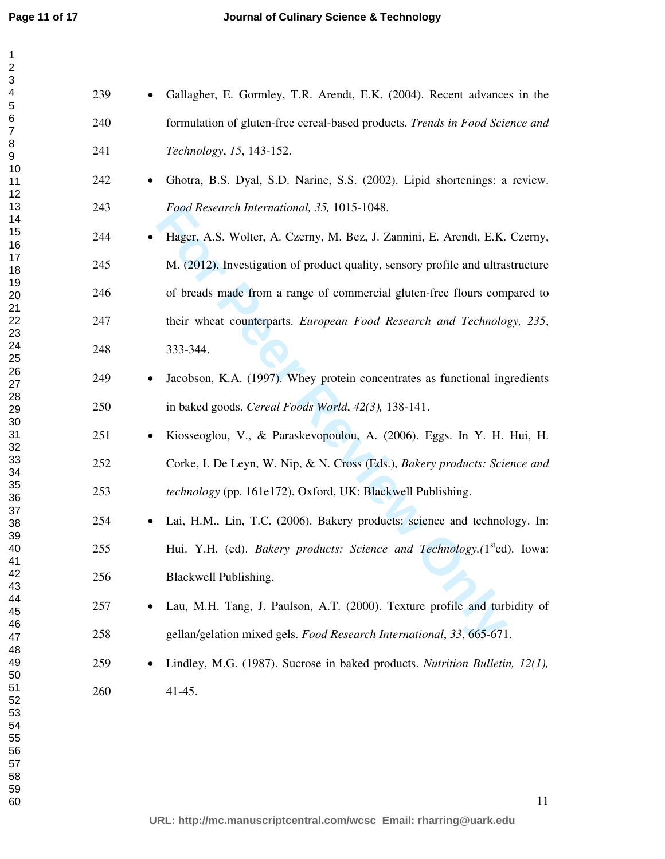| 239 | Gallagher, E. Gormley, T.R. Arendt, E.K. (2004). Recent advances in the                |
|-----|----------------------------------------------------------------------------------------|
| 240 | formulation of gluten-free cereal-based products. Trends in Food Science and           |
| 241 | Technology, 15, 143-152.                                                               |
| 242 | Ghotra, B.S. Dyal, S.D. Narine, S.S. (2002). Lipid shortenings: a review.<br>$\bullet$ |
| 243 | Food Research International, 35, 1015-1048.                                            |
| 244 | Hager, A.S. Wolter, A. Czerny, M. Bez, J. Zannini, E. Arendt, E.K. Czerny,             |
| 245 | M. (2012). Investigation of product quality, sensory profile and ultrastructure        |
| 246 | of breads made from a range of commercial gluten-free flours compared to               |
| 247 | their wheat counterparts. European Food Research and Technology, 235,                  |
| 248 | 333-344.                                                                               |
| 249 | Jacobson, K.A. (1997). Whey protein concentrates as functional ingredients<br>٠        |
| 250 | in baked goods. Cereal Foods World, 42(3), 138-141.                                    |
| 251 | Kiosseoglou, V., & Paraskevopoulou, A. (2006). Eggs. In Y. H. Hui, H.                  |
| 252 | Corke, I. De Leyn, W. Nip, & N. Cross (Eds.), Bakery products: Science and             |
| 253 | technology (pp. 161e172). Oxford, UK: Blackwell Publishing.                            |
| 254 | Lai, H.M., Lin, T.C. (2006). Bakery products: science and technology. In:              |
| 255 | Hui. Y.H. (ed). Bakery products: Science and Technology.(1 <sup>st</sup> ed). Iowa:    |
| 256 | Blackwell Publishing.                                                                  |
| 257 | Lau, M.H. Tang, J. Paulson, A.T. (2000). Texture profile and turbidity of              |
| 258 | gellan/gelation mixed gels. Food Research International, 33, 665-671.                  |
| 259 | Lindley, M.G. (1987). Sucrose in baked products. Nutrition Bulletin, 12(1),            |
| 260 | $41-45.$                                                                               |
|     |                                                                                        |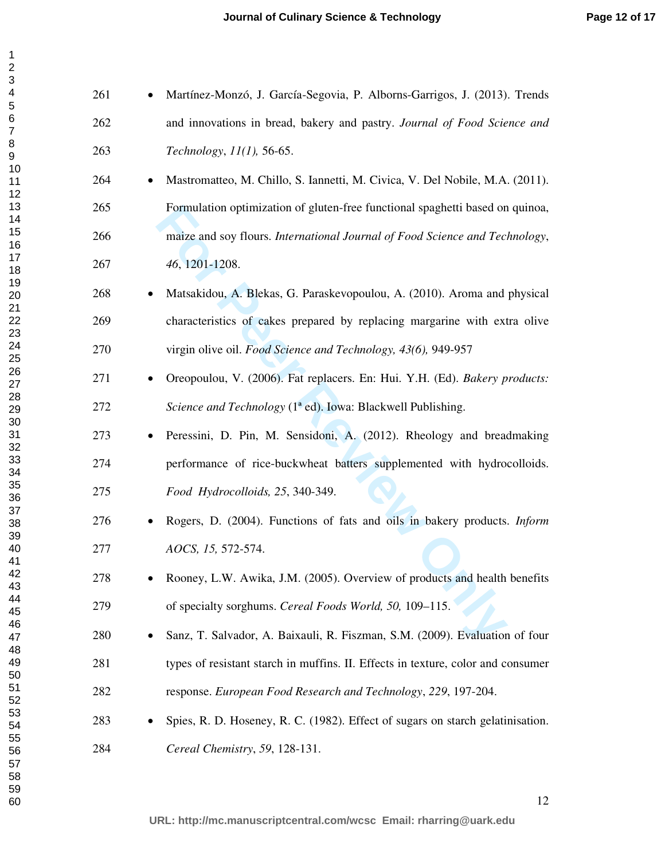| $\overline{c}$  |
|-----------------|
|                 |
|                 |
|                 |
| - 345678、       |
|                 |
|                 |
|                 |
|                 |
|                 |
| 9<br>10<br>1    |
|                 |
|                 |
|                 |
|                 |
|                 |
|                 |
|                 |
|                 |
|                 |
|                 |
|                 |
|                 |
|                 |
|                 |
|                 |
|                 |
|                 |
|                 |
|                 |
|                 |
|                 |
|                 |
|                 |
|                 |
|                 |
|                 |
|                 |
|                 |
|                 |
|                 |
|                 |
|                 |
|                 |
|                 |
|                 |
|                 |
|                 |
|                 |
| 333333333391012 |
|                 |
| 43              |
| 44              |
| 45              |
| 46              |
|                 |
| 47              |
| 48              |
| 49              |
| 50              |
|                 |
| 51              |
| 5:              |
| 53              |
| 54              |
|                 |
| 55              |
| 56              |
| 57              |
| 58              |
| 59              |
|                 |
| 60              |

| 261 | • Martínez-Monzó, J. García-Segovia, P. Alborns-Garrigos, J. (2013). Trends |
|-----|-----------------------------------------------------------------------------|
| 262 | and innovations in bread, bakery and pastry. Journal of Food Science and    |
| 263 | Technology, $11(1)$ , 56-65.                                                |

- Mastromatteo, M. Chillo, S. Iannetti, M. Civica, V. Del Nobile, M.A. (2011). 265 Formulation optimization of gluten-free functional spaghetti based on quinoa, 266 maize and soy flours. *International Journal of Food Science and Technology*, *46*, 1201-1208.
- Matsakidou, A. Blekas, G. Paraskevopoulou, A. (2010). Aroma and physical 269 characteristics of cakes prepared by replacing margarine with extra olive 270 virgin olive oil. *Food Science and Technology, 43(6),* 949-957
- Oreopoulou, V. (2006). Fat replacers. En: Hui. Y.H. (Ed). *Bakery products: Science and Technology* (1ª ed). Iowa: Blackwell Publishing.
- Formulation optimization of gluten-free functional spaghetti based on<br>maize and soy flours. *International Journal of Food Science and Tec.*<br>46, 1201-1208.<br>Matsakidou, A. Blekas, G. Paraskevopoulou, A. (2010). Aroma and<br>ch • Peressini, D. Pin, M. Sensidoni, A. (2012). Rheology and breadmaking 274 performance of rice-buckwheat batters supplemented with hydrocolloids. *Food Hydrocolloids, 25*, 340-349.
- Rogers, D. (2004). Functions of fats and oils in bakery products. *Inform AOCS, 15,* 572-574.
- Rooney, L.W. Awika, J.M. (2005). Overview of products and health benefits 279 of specialty sorghums. *Cereal Foods World, 50,* 109–115.
- Sanz, T. Salvador, A. Baixauli, R. Fiszman, S.M. (2009). Evaluation of four 281 types of resistant starch in muffins. II. Effects in texture, color and consumer 282 response. *European Food Research and Technology*, *229*, 197-204.
- Spies, R. D. Hoseney, R. C. (1982). Effect of sugars on starch gelatinisation. *Cereal Chemistry*, *59*, 128-131.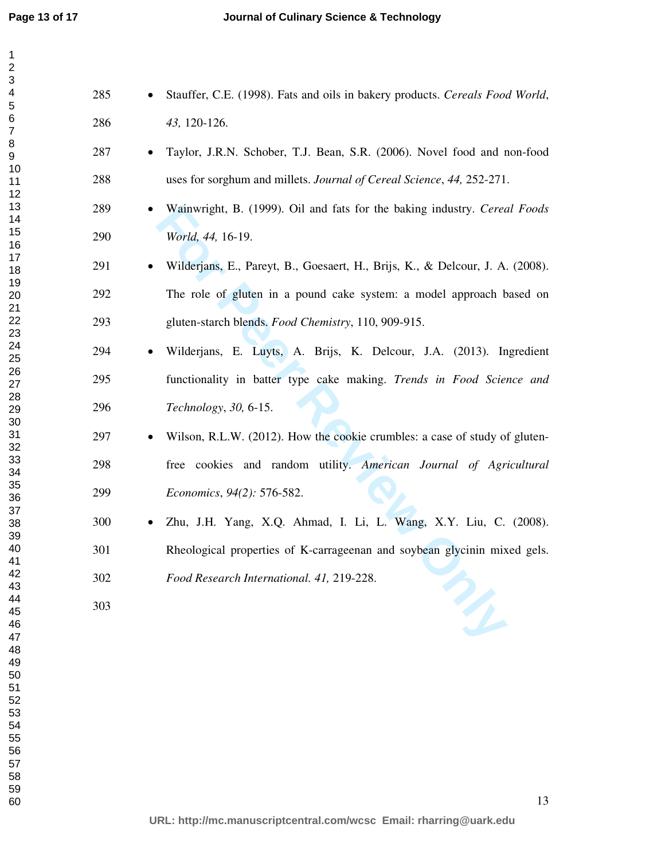*43,* 120-126.

*World, 44,* 16-19.

*Technology*, *30,* 6-15.

*Economics*, *94(2):* 576-582.

*Food Research International. 41,* 219-228.

• Stauffer, C.E. (1998). Fats and oils in bakery products. *Cereals Food World*,

• Taylor, J.R.N. Schober, T.J. Bean, S.R. (2006). Novel food and non-food

• Wainwright, B. (1999). Oil and fats for the baking industry. *Cereal Foods* 

• Wilderjans, E., Pareyt, B., Goesaert, H., Brijs, K., & Delcour, J. A. (2008).

292 The role of gluten in a pound cake system: a model approach based on

• Wilderjans, E. Luyts, A. Brijs, K. Delcour, J.A. (2013). Ingredient

295 functionality in batter type cake making. *Trends in Food Science and* 

• Wilson, R.L.W. (2012). How the cookie crumbles: a case of study of gluten-

298 free cookies and random utility. *American Journal of Agricultural* 

• Zhu, J.H. Yang, X.Q. Ahmad, I. Li, L. Wang, X.Y. Liu, C. (2008).

301 Rheological properties of K-carrageenan and soybean glycinin mixed gels.

293 gluten-starch blends. *Food Chemistry*, 110, 909-915.

288 uses for sorghum and millets. *Journal of Cereal Science*, *44,* 252-271.

Wainwright, B. (1999). Oil and fats for the baking industry. *Cered* World, 44, 16-19.<br>
Wilderjans, E., Pareyt, B., Goesaert, H., Brijs, K., & Delcour, J. A.<br>
The role of gluten in a pound cake system: a model approach b<br>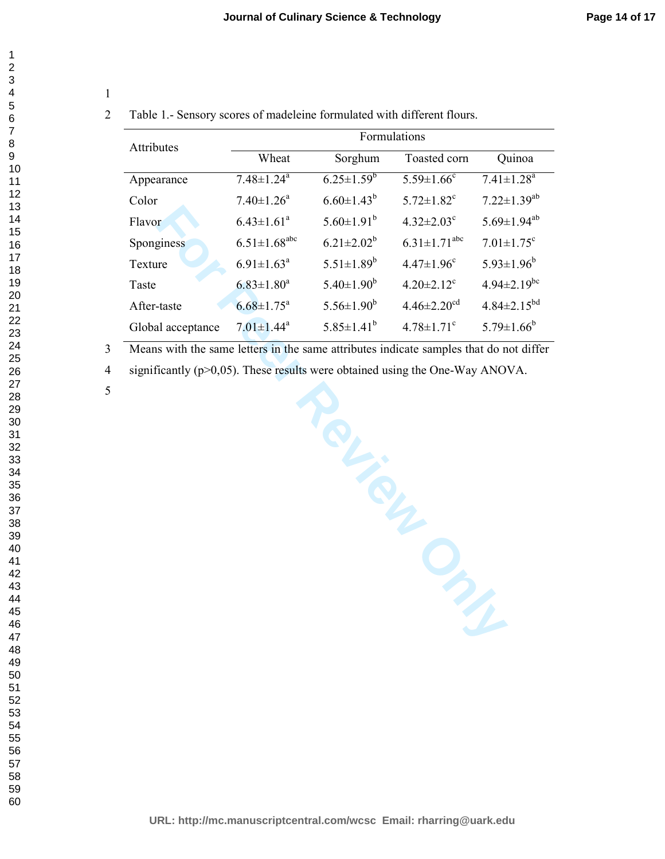# 2 Table 1.- Sensory scores of madeleine formulated with different flours.

| Attributes        | Formulations                   |                   |                                |                               |  |
|-------------------|--------------------------------|-------------------|--------------------------------|-------------------------------|--|
|                   | Wheat                          | Sorghum           | Toasted corn                   | Quinoa                        |  |
| Appearance        | $7.48 \pm 1.24$ <sup>a</sup>   | $6.25 \pm 1.59^b$ | $5.59 \pm 1.66$ <sup>c</sup>   | $7.41 \pm 1.28$ <sup>a</sup>  |  |
| Color             | $7.40 \pm 1.26$ <sup>a</sup>   | $6.60 \pm 1.43^b$ | $5.72 \pm 1.82$ <sup>c</sup>   | $7.22 \pm 1.39^{ab}$          |  |
| Flavor            | $6.43 \pm 1.61^a$              | $5.60 \pm 1.91^b$ | $4.32 \pm 2.03$ <sup>c</sup>   | $5.69 \pm 1.94^{ab}$          |  |
| Sponginess        | $6.51 \pm 1.68$ <sup>abc</sup> | $6.21 \pm 2.02^b$ | $6.31 \pm 1.71$ <sup>abc</sup> | $7.01 \pm 1.75$ <sup>c</sup>  |  |
| Texture           | $6.91 \pm 1.63$ <sup>a</sup>   | $5.51 \pm 1.89^b$ | $4.47 \pm 1.96$ <sup>c</sup>   | $5.93 \pm 1.96^b$             |  |
| Taste             | $6.83 \pm 1.80^a$              | $5.40 \pm 1.90^b$ | $4.20 \pm 2.12$ <sup>c</sup>   | $4.94 \pm 2.19$ <sup>bc</sup> |  |
| After-taste       | $6.68 \pm 1.75^{\text{a}}$     | $5.56 \pm 1.90^b$ | $4.46 \pm 2.20$ <sup>cd</sup>  | $4.84 \pm 2.15^{bd}$          |  |
| Global acceptance | $7.01 \pm 1.44$ <sup>a</sup>   | $5.85 \pm 1.41^b$ | $4.78 \pm 1.71$ <sup>c</sup>   | $5.79 \pm 1.66^b$             |  |

3 Means with the same letters in the same attributes indicate samples that do not differ

4 significantly (p>0,05). These results were obtained using the One-Way ANOVA.

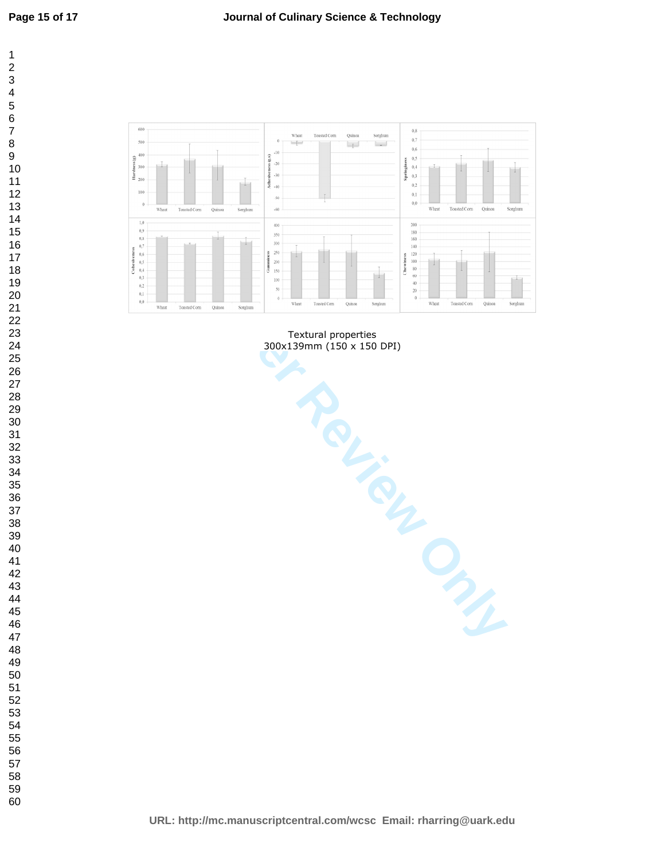

Textural properties 300x139mm (150 x 150 DPI)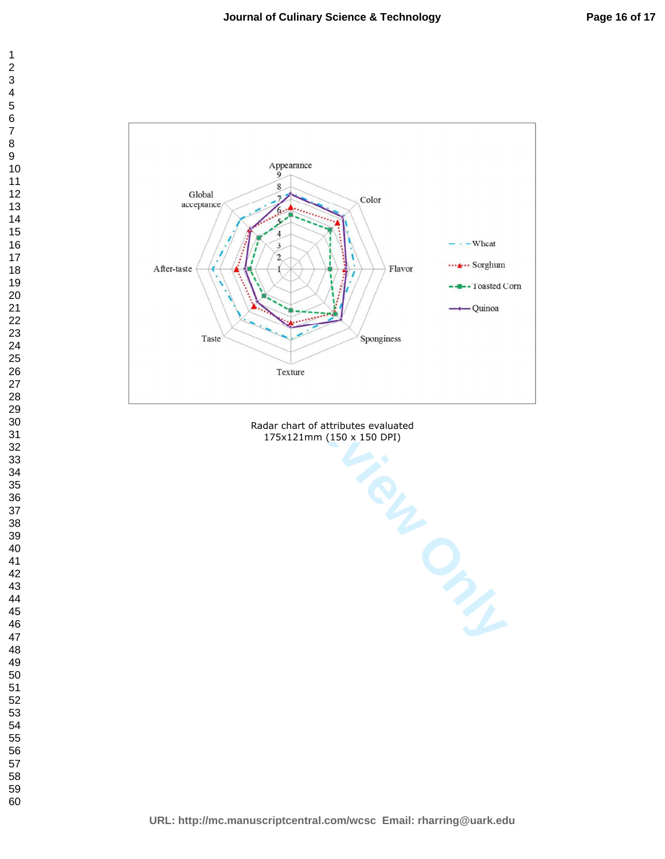

Radar chart of attributes evaluated 175x121mm (150 x 150 DPI)

**URL: http://mc.manuscriptcentral.com/wcsc Email: rharring@uark.edu**